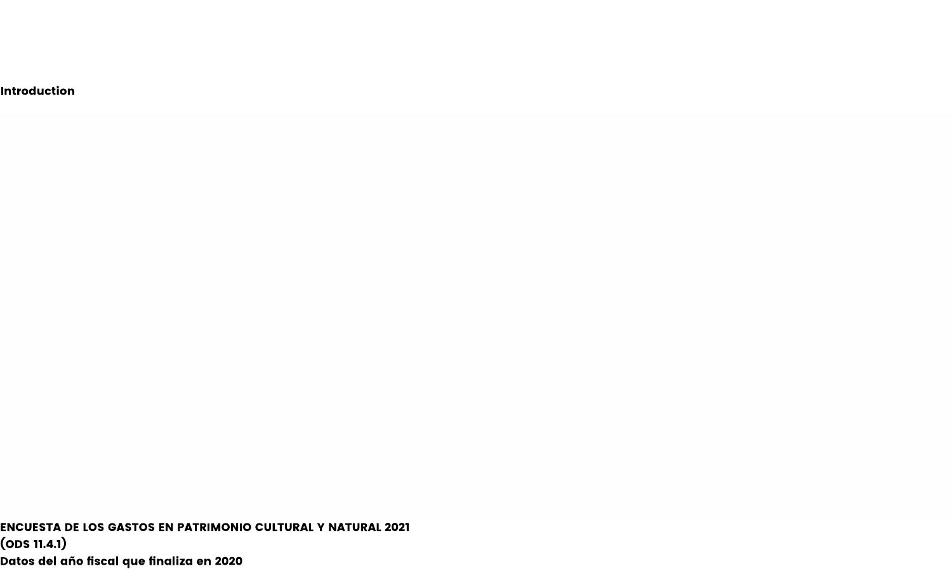**Introduction** 

ENCUESTA DE LOS GASTOS EN PATRIMONIO CULTURAL Y NATURAL 2021 (ODS 11.4.1) Datos del año fiscal que finaliza en 2020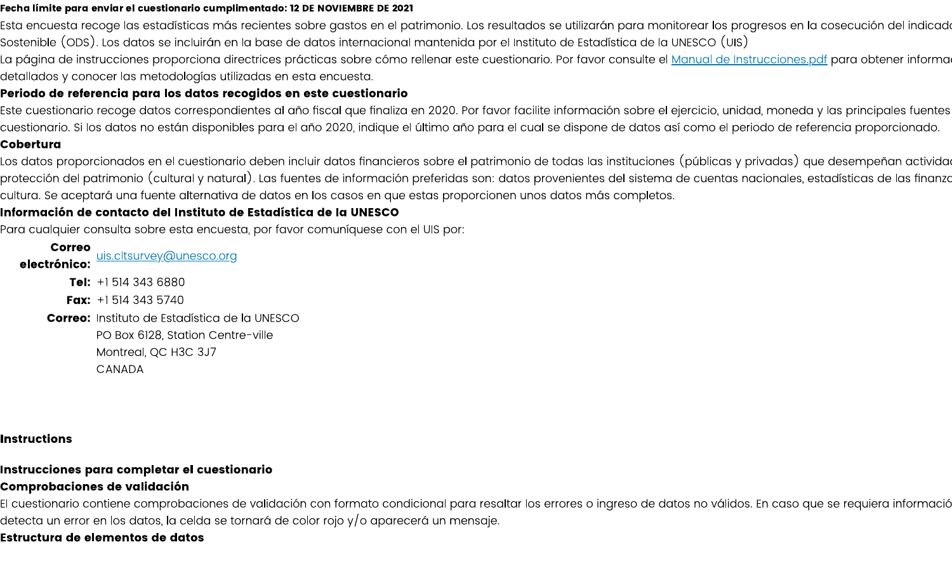#### Fecha límite para enviar el cuestionario cumplimentado: 12 DE NOVIEMBRE DE 2021

Esta encuesta recoge las estadísticas más recientes sobre gastos en el patrimonio. Los resultados se utilizarán para monitorear los progresos en la cosecución del indicad Sostenible (ODS). Los datos se incluirán en la base de datos internacional mantenida por el Instituto de Estadística de la UNESCO (UIS)

La página de instrucciones proporciona directrices prácticas sobre cómo rellenar este cuestionario. Por favor consulte el <u>Manual de Instrucciones pdf</u> para obtener informa detallados y conocer las metodologías utilizadas en esta encuesta.

#### Periodo de referencia para los datos recogidos en este cuestionario

Este cuestionario recoge datos correspondientes al año fiscal que finaliza en 2020. Por favor facilite información sobre el ejercicio, unidad, moneda y las principales fuentes cuestionario. Si los datos no están disponibles para el año 2020, indique el último año para el cual se dispone de datos así como el periodo de referencia proporcionado.

#### Cobertura

Los datos proporcionados en el cuestionario deben incluir datos financieros sobre el patrimonio de todas las instituciones (públicas y privadas) que desempeñan activida protección del patrimonio (cultural y natural). Las fuentes de información preferidas son: datos provenientes del sistema de cuentas nacionales, estadísticas de las finanzo cultura. Se aceptará una fuente alternativa de datos en los casos en que estas proporcionen unos datos más completos.

#### Información de contacto del Instituto de Estadística de la UNESCO

Para cualquier consulta sobre esta encuesta, por favor comuníquese con el UIS por:

**Correo** uis.cltsurvey@unesco.org electrónico: **Tel:**  $+151436880$ **Fax:**  $+15143435740$ **Correo:** Instituto de Estadística de la UNESCO PO Box 6128, Station Centre-ville Montreal, QC H3C 3J7 CANADA

#### **Instructions**

# Instrucciones para completar el cuestionario

## **Comprobaciones de validación**

El cuestionario contiene comprobaciones de validación con formato condicional para resaltar los errores o ingreso de datos no válidos. En caso que se requiera informació detecta un error en los datos, la celda se tornará de color rojo y/o aparecerá un mensaje.

# **Estructura de elementos de datos**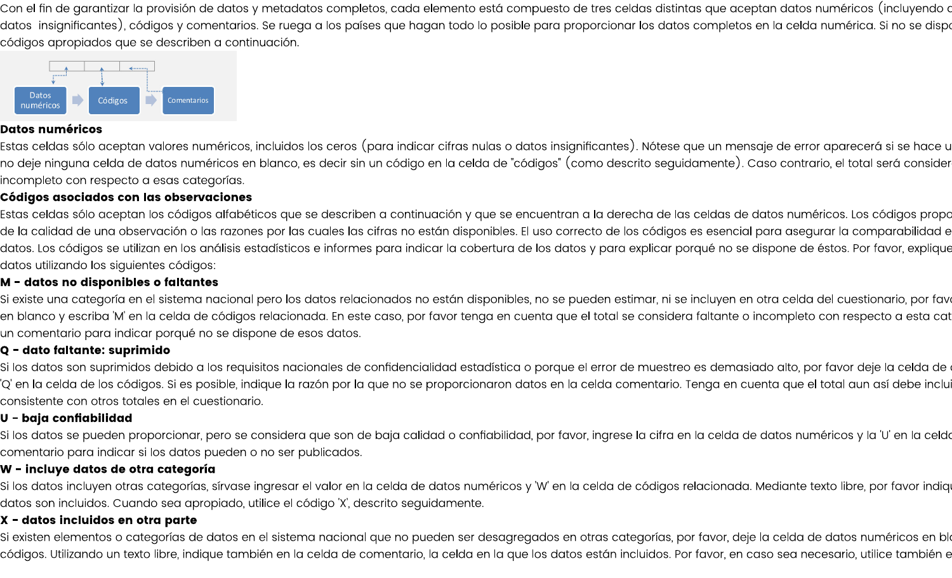Con el fin de garantizar la provisión de datos y metadatos completos, cada elemento está compuesto de tres celdas distintas que aceptan datos numéricos (incluyendo d datos insignificantes), códigos y comentarios. Se ruega a los países que hagan todo lo posible para proporcionar los datos completos en la celda numérica. Si no se disp códigos apropiados que se describen a continuación.



#### **Datos numéricos**

Estas celdas sólo aceptan valores numéricos, incluidos los ceros (para indicar cifras nulas o datos insignificantes). Nótese que un mensaje de error aparecerá si se hace u no deje ninguna celda de datos numéricos en blanco, es decir sin un código en la celda de "códigos" (como descrito seguidamente). Caso contrario, el total será consider incompleto con respecto a esas categorías.

### Códigos asociados con las observaciones

Estas celdas sólo aceptan los códigos alfabéticos que se describen a continuación y que se encuentran a la derecha de las celdas de datos numéricos. Los códigos propo de la calidad de una observación o las razones por las cuales las cifras no están disponibles. El uso correcto de los códigos es esencial para asegurar la comparabilidad e datos. Los códigos se utilizan en los análisis estadísticos e informes para indicar la cobertura de los datos y para explicar porqué no se dispone de éstos. Por favor, explique datos utilizando los siguientes códigos:

### M - datos no disponibles o faltantes

Si existe una categoría en el sistema nacional pero los datos relacionados no están disponibles, no se pueden estimar, ni se incluyen en otra celda del cuestionario, por fav en blanco y escriba 'M' en la celda de códigos relacionada. En este caso, por favor tenga en cuenta que el total se considera faltante o incompleto con respecto a esta cat un comentario para indicar porqué no se dispone de esos datos.

#### Q - dato faltante: suprimido

Si los datos son suprimidos debido a los requisitos nacionales de confidencialidad estadística o porque el error de muestreo es demasiado alto, por favor deje la celda de 'Q' en la celda de los códigos. Si es posible, indique la razón por la que no se proporcionaron datos en la celda comentario. Tenga en cuenta que el total aun así debe inclu consistente con otros totales en el cuestionario.

#### U - baja confiabilidad

Si los datos se pueden proporcionar, pero se considera que son de baja calidad o confiabilidad, por favor, ingrese la cifra en la celda de datos numéricos y la 'U' en la celda comentario para indicar si los datos pueden o no ser publicados.

## W - incluye datos de otra categoría

Si los datos incluyen otras categorías, sírvase ingresar el valor en la celda de datos numéricos y 'W' en la celda de códigos relacionada. Mediante texto libre, por favor indiq datos son incluidos. Cuando sea apropiado, utilice el código 'X', descrito seguidamente.

## X - datos incluidos en otra parte

Si existen elementos o categorías de datos en el sistema nacional que no pueden ser desagregados en otras categorías, por favor, deje la celda de datos numéricos en bl códigos. Utilizando un texto libre, indique también en la celda de comentario, la celda en la que los datos están incluidos. Por favor, en caso sea necesario, utilice también e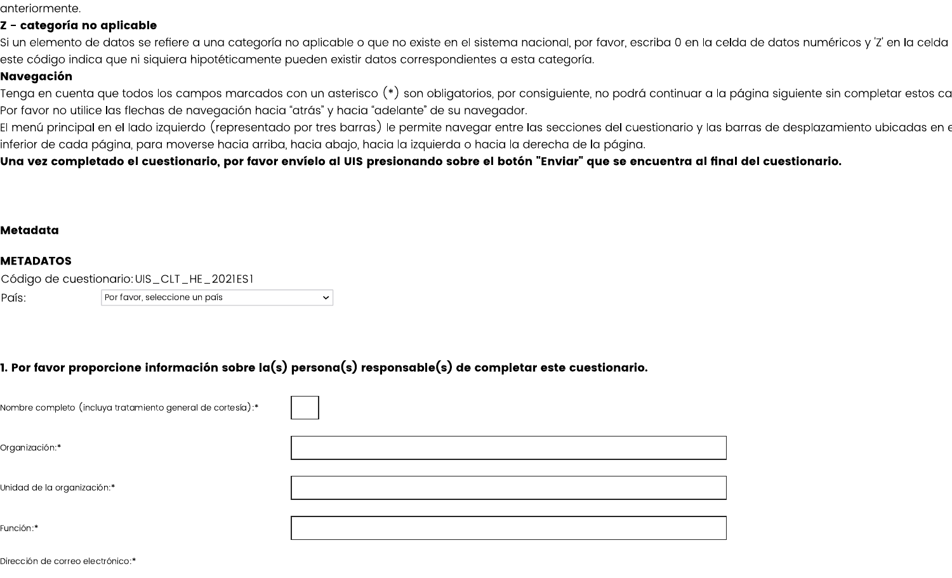anteriormente.

## Z - categoría no aplicable

Si un elemento de datos se refiere a una categoría no aplicable o que no existe en el sistema nacional, por favor, escriba 0 en la celda de datos numéricos y 'Z' en la celda este código indica que ni siquiera hipotéticamente pueden existir datos correspondientes a esta categoría.

## Navegación

Tenga en cuenta que todos los campos marcados con un asterisco (\*) son obligatorios, por consiguiente, no podrá continuar a la página siguiente sin completar estos co Por favor no utilice las flechas de navegación hacia "atrás" y hacia "adelante" de su navegador.

El menú principal en el lado izquierdo (representado por tres barras) le permite navegar entre las secciones del cuestionario y las barras de desplazamiento ubicadas en « inferior de cada página, para moverse hacia arriba, hacia abajo, hacia la izquierda o hacia la derecha de la página.

Una vez completado el cuestionario, por favor envíelo al UIS presionando sobre el botón "Enviar" que se encuentra al final del cuestionario.

#### Metadata

#### **METADATOS**

|       | Código de cuestionario: UIS_CLT_HE_2021ES1 |
|-------|--------------------------------------------|
| País: | Por favor, seleccione un país              |

|  |  |  |  |  |  |  |  | l. Por favor proporcione información sobre la $(\mathsf{s})$ persona $(\mathsf{s})$ responsable $(\mathsf{s})$ de completar este cuestionario. |
|--|--|--|--|--|--|--|--|------------------------------------------------------------------------------------------------------------------------------------------------|
|--|--|--|--|--|--|--|--|------------------------------------------------------------------------------------------------------------------------------------------------|

| Nombre completo (incluya tratamiento general de cortesía):* |  |
|-------------------------------------------------------------|--|
| Organización:*                                              |  |
| Unidad de la organización:*                                 |  |
| Función:*                                                   |  |

Dirección de correo electrónico:\*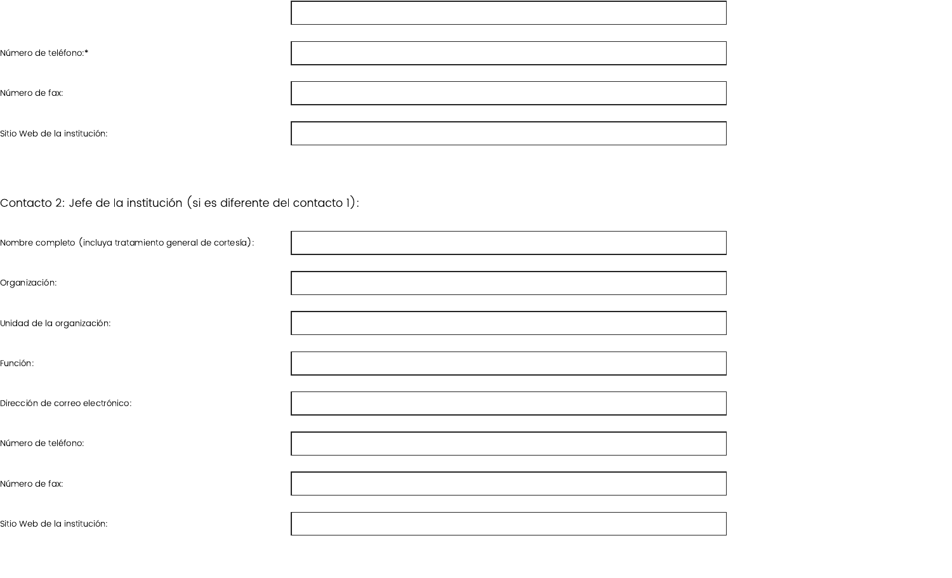| Número de teléfono:*                                                 |  |
|----------------------------------------------------------------------|--|
| Número de fax:                                                       |  |
| Sitio Web de la institución:                                         |  |
|                                                                      |  |
| Contacto 2: Jefe de la institución (si es diferente del contacto 1): |  |
| Nombre completo (incluya tratamiento general de cortesía):           |  |
| Organización:                                                        |  |
| Unidad de la organización:                                           |  |
| Función:                                                             |  |
| Dirección de correo electrónico:                                     |  |
| Número de teléfono:                                                  |  |
| Número de fax:                                                       |  |
| Sitio Web de la institución:                                         |  |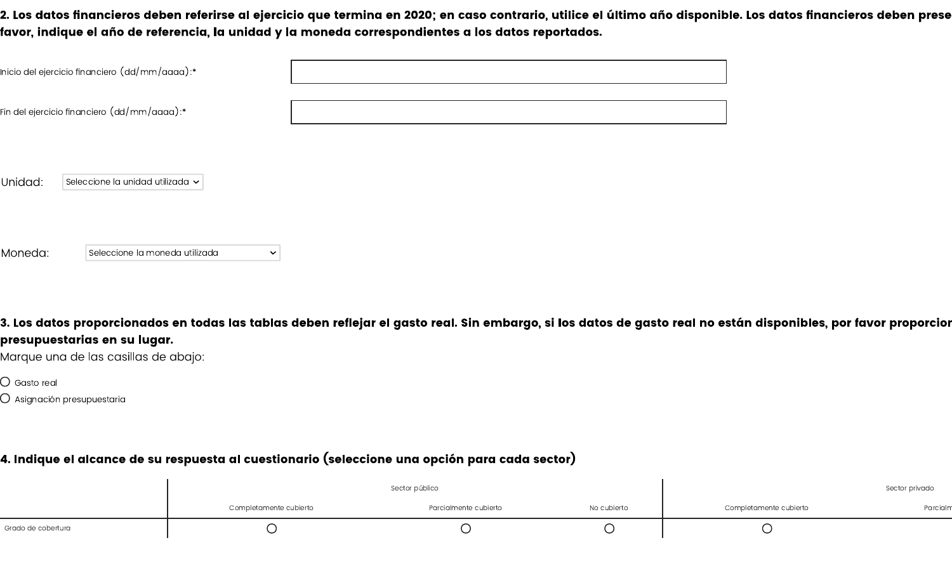2. Los datos financieros deben referirse al ejercicio que termina en 2020; en caso contrario, utilice el último año disponible. Los datos financieros deben prese favor, indique el año de referencia, la unidad y la moneda correspondientes a los datos reportados.

|         | Inicio del ejercicio financiero $(dd/\text{mm}/\text{aaaa})$ :* |  |  |
|---------|-----------------------------------------------------------------|--|--|
|         | Fin del ejercicio financiero $(dd/mm/a$ aaa): $^\ast$           |  |  |
| Unidad: | Seleccione la unidad utilizada $\sim$                           |  |  |

Moneda: Seleccione la moneda utilizada

3. Los datos proporcionados en todas las tablas deben reflejar el gasto real. Sin embargo, si los datos de gasto real no están disponibles, por favor proporcior presupuestarias en su lugar.

Marque una de las casillas de abajo:

 $\bigcirc$  Gasto real

 $\bigcirc$  Asignación presupuestaria

# 4. Indique el alcance de su respuesta al cuestionario (seleccione una opción para cada sector)

 $\checkmark$ 

|                    | Sector público         |                       |             |                        | Sector privado |
|--------------------|------------------------|-----------------------|-------------|------------------------|----------------|
|                    | Completamente cubierto | Parcialmente cubierto | No cubierto | Completamente cubierto | Parcialm       |
| Grado de cobertura |                        |                       |             |                        |                |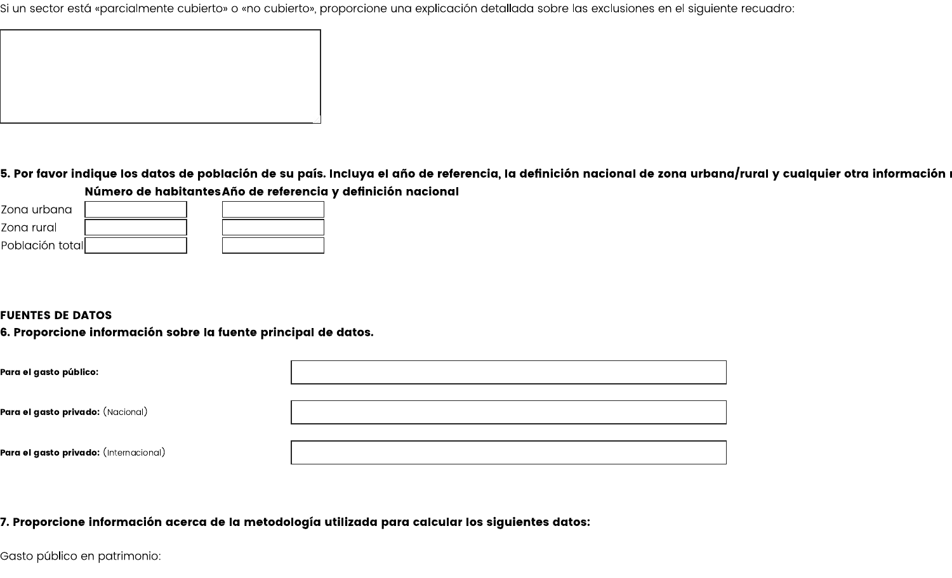Si un sector está «parcialmente cubierto» o «no cubierto», proporcione una explicación detallada sobre las exclusiones en el siguiente recuadro:

5. Por favor indique los datos de población de su país. Incluya el año de referencia, la definición nacional de zona urbana/rural y cualquier otra información l Número de habitantes Año de referencia y definición nacional

| Zona urbana     |  |  |
|-----------------|--|--|
| Zona rural      |  |  |
| Población total |  |  |

### **FUENTES DE DATOS**

6. Proporcione información sobre la fuente principal de datos.

| Para el gasto público:                        |  |
|-----------------------------------------------|--|
| <b>Para el gasto privado:</b> (Nacional)      |  |
| <b>Para el gasto privado:</b> (Internacional) |  |

7. Proporcione información acerca de la metodología utilizada para calcular los siguientes datos:

Gasto público en patrimonio: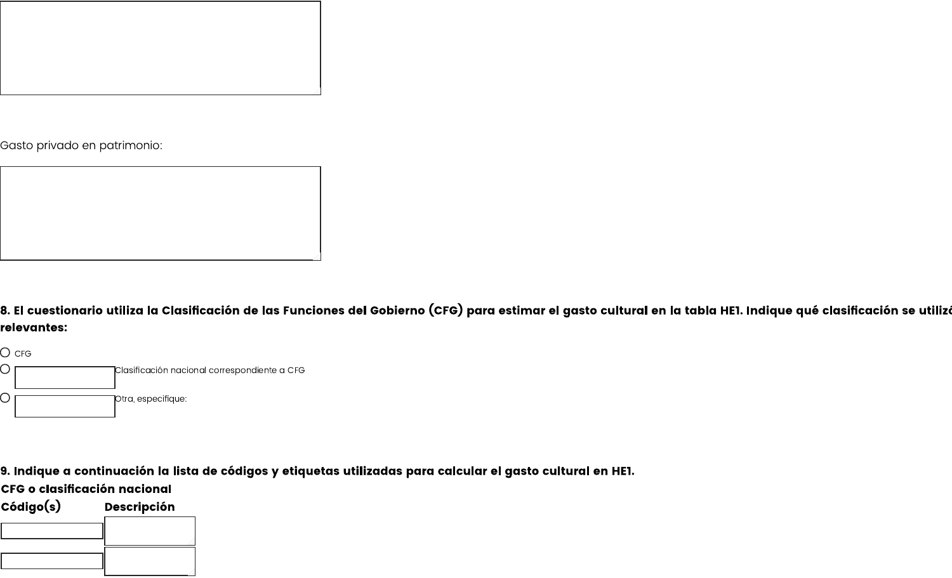

Gasto privado en patrimonio:



8. El cuestionario utiliza la Clasificación de las Funciones del Gobierno (CFG) para estimar el gasto cultural en la tabla HE1. Indique qué clasificación se utiliz relevantes:



9. Indique a continuación la lista de códigos y etiquetas utilizadas para calcular el gasto cultural en HE1.

**CFG o clasificación nacional** 

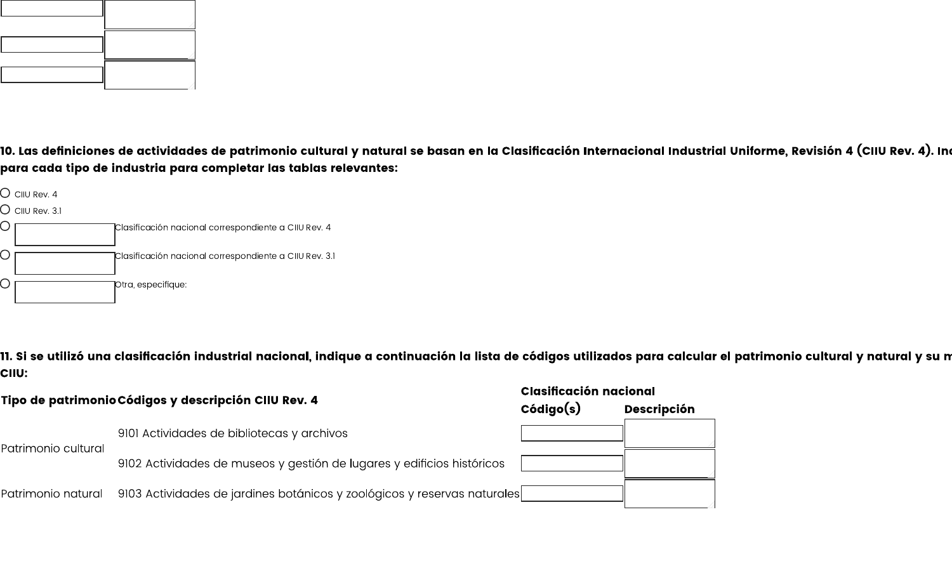

10. Las definiciones de actividades de patrimonio cultural y natural se basan en la Clasificación Internacional Industrial Uniforme, Revisión 4 (CIIU Rev. 4). In para cada tipo de industria para completar las tablas relevantes:



11. Si se utilizó una clasificación industrial nacional, indique a continuación la lista de códigos utilizados para calcular el patrimonio cultural y natural y su n CIIU:

| Tipo de patrimonio Códigos y descripción CIIU Rev. 4 |                                                                          | Clasificación nacional |                    |
|------------------------------------------------------|--------------------------------------------------------------------------|------------------------|--------------------|
|                                                      |                                                                          | Código(s)              | <b>Descripción</b> |
| Patrimonio cultural                                  | 9101 Actividades de bibliotecas y archivos                               |                        |                    |
|                                                      | 9102 Actividades de museos y gestión de lugares y edificios históricos   |                        |                    |
| Patrimonio natural                                   | 9103 Actividades de jardines botánicos y zoológicos y reservas naturales |                        |                    |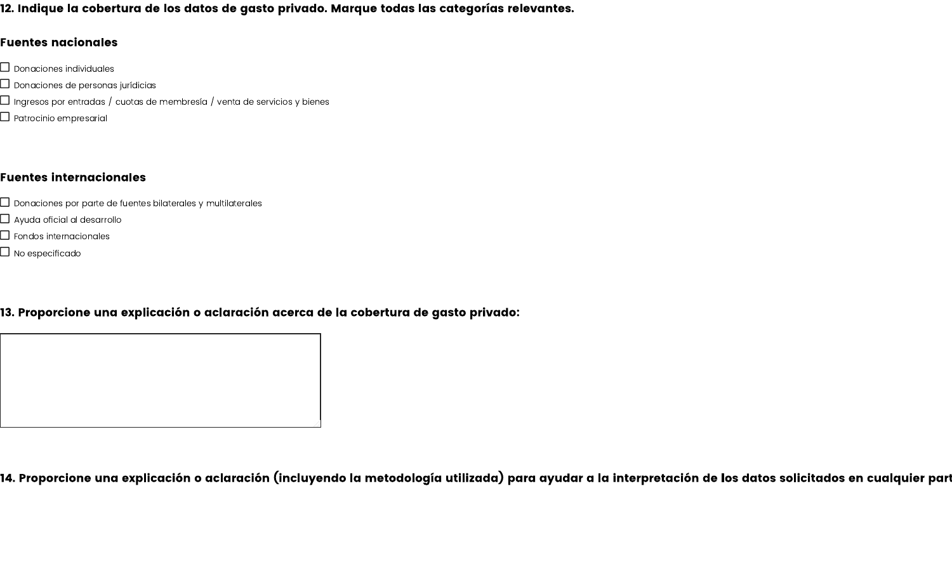12. Indique la cobertura de los datos de gasto privado. Marque todas las categorías relevantes.

#### **Fuentes nacionales**

- $\Box$  Donaciones individuales
- $\Box$  Donaciones de personas jurídicias
- $\Box$  Ingresos por entradas / cuotas de membresía / venta de servicios y bienes.
- $\Box$  Patrocinio empresarial

### **Fuentes internacionales**

- $\Box$  Donaciones por parte de fuentes bilaterales y multilaterales
- $\Box$  Ayuda oficial al desarrollo
- $\Box$  Fondos internacionales
- $\Box$  No especificado

## 13. Proporcione una explicación o aclaración acerca de la cobertura de gasto privado:

14. Proporcione una explicación o aclaración (incluyendo la metodología utilizada) para ayudar a la interpretación de los datos solicitados en cualquier part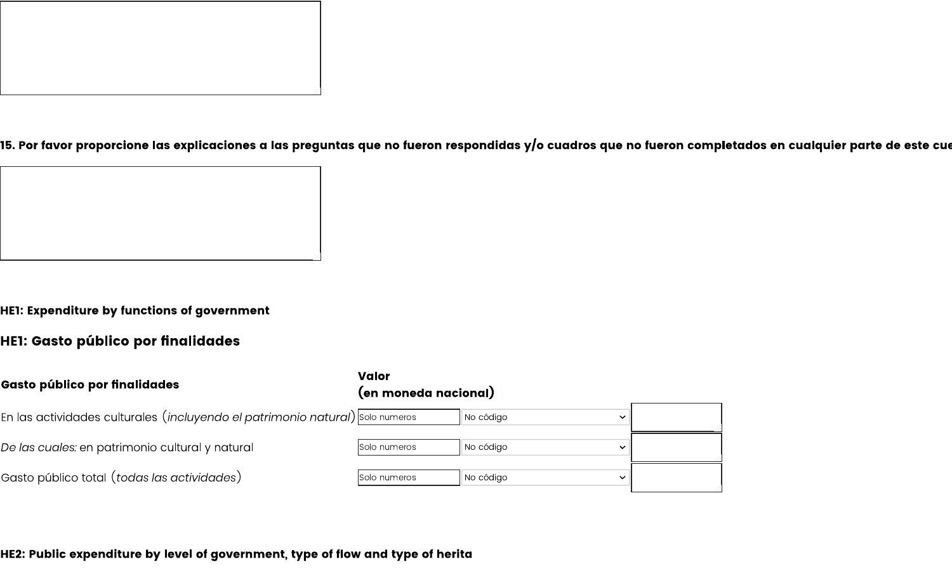

15. Por favor proporcione las explicaciones a las preguntas que no fueron respondidas y/o cuadros que no fueron completados en cualquier parte de este cu



# HE1: Gasto público por finalidades

| Gasto público por finalidades                                                               | <b>Valor</b><br>(en moneda nacional) |           |  |
|---------------------------------------------------------------------------------------------|--------------------------------------|-----------|--|
| En las actividades culturales $\,($ incluyendo el patrimonio natural $)$  solo numeros $\,$ |                                      | No código |  |
| De las cuales: en patrimonio cultural y natural                                             | Solo numeros                         | No código |  |
| Gasto público total ( <i>todas las actividades</i> )                                        | Solo numeros                         | No código |  |

HE2: Public expenditure by level of government, type of flow and type of herita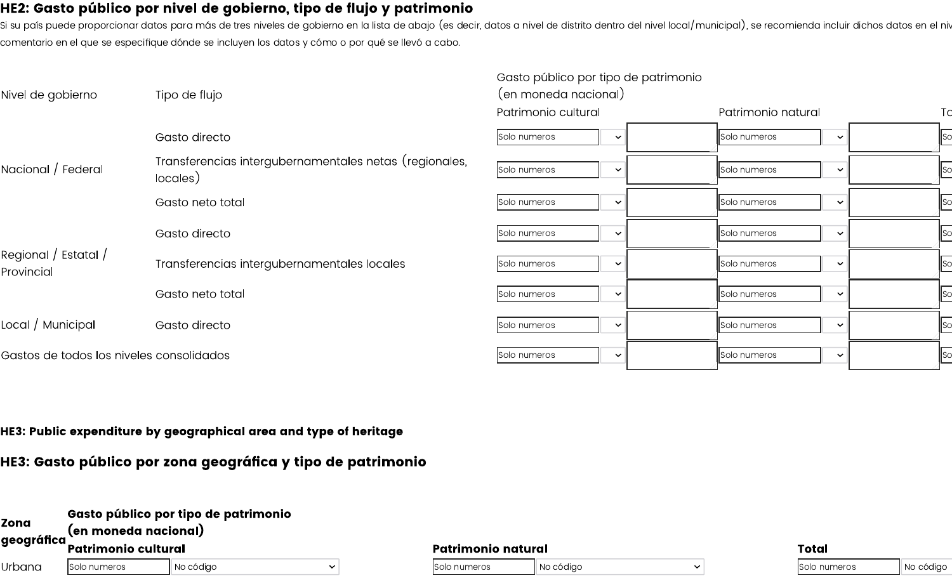# HE2: Gasto público por nivel de gobierno, tipo de flujo y patrimonio

.<br>Si su país puede proporcionar datos para más de tres niveles de gobierno en la lista de abajo (es decir, datos a nivel de distrito dentro del nivel local/municipal), se recomienda incluir dichos datos en el niv comentario en el que se especifique dónde se incluyen los datos y cómo o por qué se llevó a cabo.

| Nivel de gobierno                        | Tipo de flujo                                                      | Gasto público por tipo de patrimonio<br>(en moneda nacional) |                              |    |
|------------------------------------------|--------------------------------------------------------------------|--------------------------------------------------------------|------------------------------|----|
|                                          |                                                                    | Patrimonio cultural                                          | Patrimonio natural           | Tc |
|                                          | Gasto directo                                                      | Solo numeros<br>$\checkmark$                                 | Solo numeros<br>$\checkmark$ | Sc |
| Nacional / Federal                       | Transferencias intergubernamentales netas (regionales,<br>locales) | Solo numeros<br>$\checkmark$                                 | Solo numeros<br>$\checkmark$ |    |
|                                          | Gasto neto total                                                   | Solo numeros<br>$\checkmark$                                 | Solo numeros<br>$\checkmark$ |    |
|                                          | Gasto directo                                                      | Solo numeros<br>$\checkmark$                                 | Solo numeros<br>$\checkmark$ |    |
| Regional / Estatal /<br>Provincial       | Transferencias intergubernamentales locales                        | Solo numeros<br>$\checkmark$                                 | Solo numeros<br>$\checkmark$ |    |
|                                          | Gasto neto total                                                   | Solo numeros<br>$\checkmark$                                 | Solo numeros<br>$\checkmark$ |    |
| Local / Municipal                        | Gasto directo                                                      | Solo numeros<br>$\checkmark$                                 | Solo numeros<br>$\checkmark$ |    |
| Gastos de todos los niveles consolidados |                                                                    | Solo numeros<br>$\checkmark$                                 | Solo numeros<br>$\checkmark$ | Sc |

HE3: Public expenditure by geographical area and type of heritage

HE3: Gasto público por zona geográfica y tipo de patrimonio

| <b>Zona</b><br>geográfica | Gasto público por tipo de patrimonio<br>(en moneda nacional) |           |  |  |  |
|---------------------------|--------------------------------------------------------------|-----------|--|--|--|
|                           | <b>Patrimonio cultural</b>                                   |           |  |  |  |
| lUrbana                   | Solo numeros                                                 | No código |  |  |  |

| Patrimonio natural  |           | Total |  |                     |           |  |  |
|---------------------|-----------|-------|--|---------------------|-----------|--|--|
| <b>Solo numeros</b> | No código |       |  | <b>Solo numeros</b> | No código |  |  |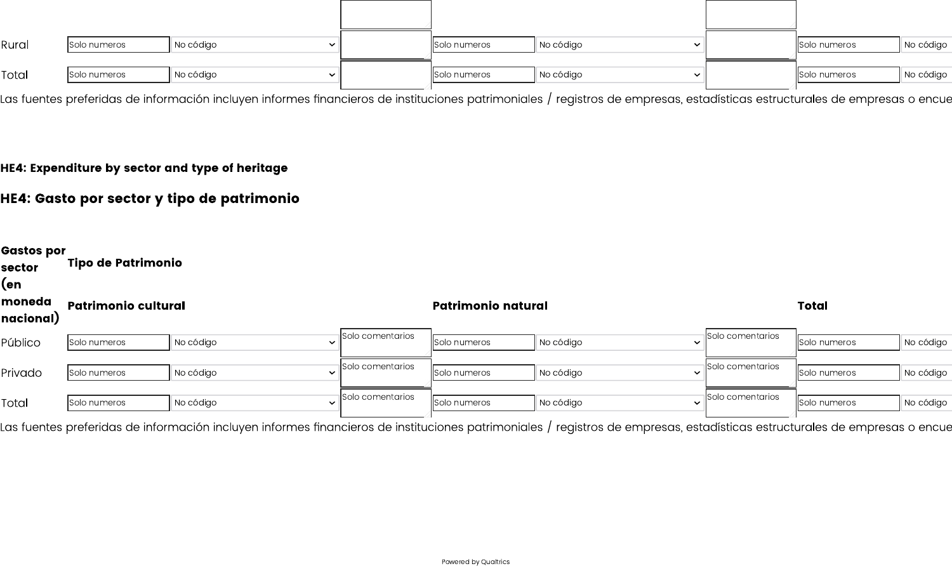| Rural | Solo numeros | No código<br>$\ddot{\phantom{0}}$ | Solo numeros | No código<br>$\overline{\phantom{a}}$ | Solo numeros | No código |
|-------|--------------|-----------------------------------|--------------|---------------------------------------|--------------|-----------|
| Total | Solo numeros | No código<br>$\checkmark$         | Solo numeros | No código<br>$\ddot{\phantom{0}}$     | Solo numeros | No código |

Las fuentes preferidas de información incluyen informes financieros de instituciones patrimoniales / registros de empresas, estadísticas estructurales de empresas o encue

## HE4: Expenditure by sector and type of heritage

# HE4: Gasto por sector y tipo de patrimonio

| Gastos por<br>sector<br>(en<br>moneda<br>nacional)<br>Público | <b>Tipo de Patrimonio</b>  |           |              |                           |              |           |              |                  |              |           |
|---------------------------------------------------------------|----------------------------|-----------|--------------|---------------------------|--------------|-----------|--------------|------------------|--------------|-----------|
|                                                               | <b>Patrimonio cultural</b> |           |              | <b>Patrimonio natural</b> |              |           | <b>Total</b> |                  |              |           |
|                                                               | Solo numeros               | No código |              | Solo comentarios          | Solo numeros | No código |              | Solo comentarios | Solo numeros | No código |
| Privado                                                       | Solo numeros               | No código |              | Solo comentarios          | Solo numeros | No código |              | Solo comentarios | Solo numeros | No código |
| Total                                                         | Solo numeros               | No código | $\checkmark$ | Solo comentarios          | Solo numeros | No código | $\checkmark$ | Solo comentarios | Solo numeros | No código |

Las fuentes preferidas de información incluyen informes financieros de instituciones patrimoniales / registros de empresas, estadísticas estructurales de empresas o encue